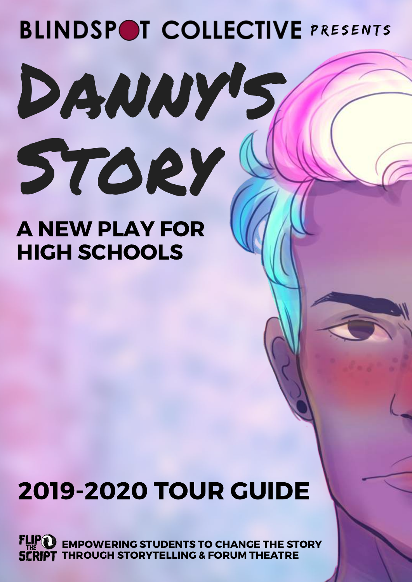# Danny's Story **BLINDSPOT COLLECTIVE PRESENTS**

### A NEW PLAY FOR HIGH SCHOOLS

## 2019-2020 TOUR GUIDE

EMPOWERING STUDENTS TO CHANGE THE STORY THROUGH STORYTELLING & FORUM THEATRE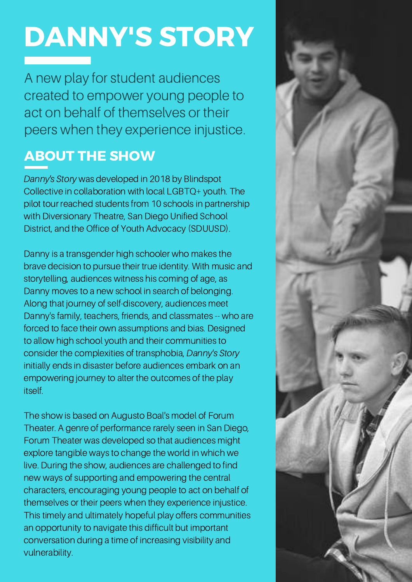# DANNY'S STORY

A new play for student audiences created to empower young people to act on behalf of themselves or their peers when they experience injustice.

#### ABOUT THE SHOW

Danny's Story was developed in 2018 by Blindspot Collective in collaboration with local LGBTQ+ youth. The pilot tour reached students from 10 schools in partnership with Diversionary Theatre, San Diego Unified School District, and the Office of Youth Advocacy (SDUUSD).

Danny is a transgender high schooler who makes the brave decision to pursue their true identity. With music and storytelling, audiences witness his coming of age, as Danny moves to a new school in search of belonging. Along that journey of self-discovery, audiences meet Danny's family, teachers, friends, and classmates -- who are forced to face their own assumptions and bias. Designed to allow high school youth and their communities to consider the complexities of transphobia, Danny's Story initially ends in disaster before audiences embark on an empowering journey to alter the outcomes of the play itself.

The show is based on Augusto Boal's model of Forum Theater. A genre of performance rarely seen in San Diego, Forum Theater was developed so that audiences might explore tangible ways to change the world in which we live. During the show, audiences are challenged to find new ways of supporting and empowering the central characters, encouraging young people to act on behalf of themselves or their peers when they experience injustice. This timely and ultimately hopeful play offers communities an opportunity to navigate this difficult but important conversation during a time of increasing visibility and vulnerability.

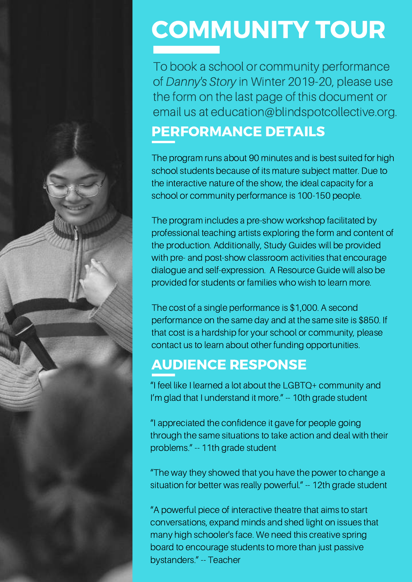

# COMMUNITY TOUR

To book a school or community performance of Danny's Story in Winter 2019-20, please use the form on the last page of this document or email us at education@blindspotcollective.org.

#### PERFORMANCE DETAILS

The program runs about 90 minutes and is best suited for high school students because of its mature subject matter. Due to the interactive nature of the show, the ideal capacity for a school or community performance is 100-150 people.

The program includes a pre-show workshop facilitated by professional teaching artists exploring the form and content of the production. Additionally, Study Guides will be provided with pre- and post-show classroom activities that encourage dialogue and self-expression. A Resource Guide will also be provided for students or families who wish to learn more.

The cost of a single performance is \$1,000. A second performance on the same day and at the same site is \$850. If that cost is a hardship for your school or community, please contact us to learn about other funding opportunities.

#### AUDIENCE RESPONSE

"I feel like I learned a lot about the LGBTQ+ community and I'm glad that I understand it more." -- 10th grade student

"I appreciated the confidence it gave for people going through the same situations to take action and deal with their problems." -- 11th grade student

"The way they showed that you have the power to change a situation for better was really powerful." -- 12th grade student

"A powerful piece of interactive theatre that aims to start conversations, expand minds and shed light on issues that many high schooler's face. We need this creative spring board to encourage students to more than just passive bystanders." -- Teacher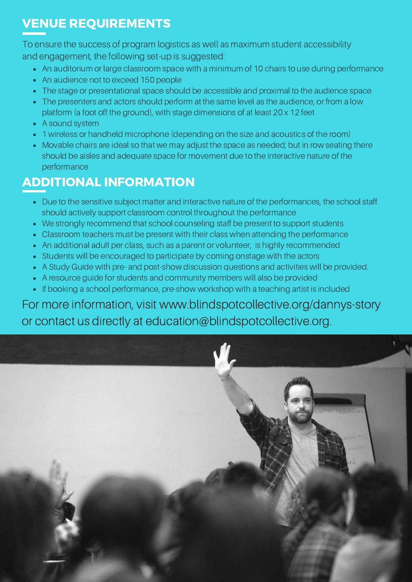#### VENUE REQUIREMENTS

To ensure the success of program logistics as well as maximum student accessibility and engagement, the following set-up is suggested:

- An auditorium or large classroom space with a minimum of 10 chairs to use during performance
- An audience not to exceed 150 people
- The stage or presentational space should be accessible and proximal to the audience space
- The presenters and actors should perform at the same level as the audience, or from a low platform (a foot off the ground), with stage dimensions of at least 20 x 12 feet
- A sound system
- 1 wireless or handheld microphone (depending on the size and acoustics of the room)
- Movable chairs are ideal so that we may adjust the space as needed; but in row seating there should be aisles and adequate space for movement due to the interactive nature of the performance

#### ADDITIONAL INFORMATION

- Due to the sensitive subject matter and interactive nature of the performances, the school staff should actively support classroom control throughout the performance
- We strongly recommend that school counseling staff be present to support students
- Classroom teachers must be present with their class when attending the performance
- An additional adult per class, such as a parent or volunteer, is highly recommended
- Students will be encouraged to participate by coming onstage with the actors
- A Study Guide with pre- and post-show discussion questions and activities will be provided.
- A resource guide for students and community members will also be provided
- If booking a school performance, pre-show workshop with a teaching artist is included

For more information, visit www.blindspotcollective.org/dannys-story or contact us directly at education@blindspotcollective.org.